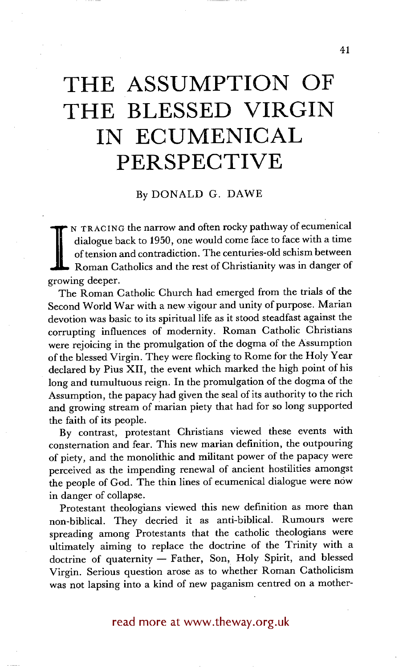# **THE ASSUMPTION OF THE BLESSED VIRGIN IN ECUMENICAL PERSPECTIVE**

## By DONALD G. DAWE

of tension and contradiction. The centuries-old schism between<br>Roman Catholics and the rest of Christianity was in danger of N TRACING the narrow and often rocky pathway of ecumenical dialogue back to 1950, one would come face to face with a time of tension and contradiction. The centuries-old schism between growing deeper.

The Roman Catholic Church had emerged from the trials of the Second World War with a new vigour and unity of purpose. Marian devotion was basic to its spiritual life as it stood steadfast against the corrupting influences of modernity. Roman Catholic Christians were rejoicing in the promulgation of the dogma of the Assumption of the blessed Virgin. They were flocking to Rome for the Holy Year declared by Pius XII, the event which marked the high point of his long and tumultuous reign. In the promulgation of the dogma of the Assumption, the papacy had given the seal of its authority to the rich and growing stream of marian piety that had for so long supported the faith of its people.

By contrast, protestant Christians viewed these events with consternation and fear. This new marian definition, the outpouring of piety, and the monolithic and militant power of the papacy were perceived as the impending renewal of ancient hostilities amongst the people of God. The thin lines of ecumenical dialogue were now in danger of collapse.

Protestant theologians viewed this new definition as more than non-biblical. They decried it as anti-biblical. Rumours were spreading among Protestants that the catholic theologians were ultimately aiming to replace the doctrine of the Trinity with a doctrine of quaternity - Father, Son, Holy Spirit, and blessed Virgin. Serious question arose as to whether Roman Catholicism was not lapsing into a kind of new paganism centred on a mother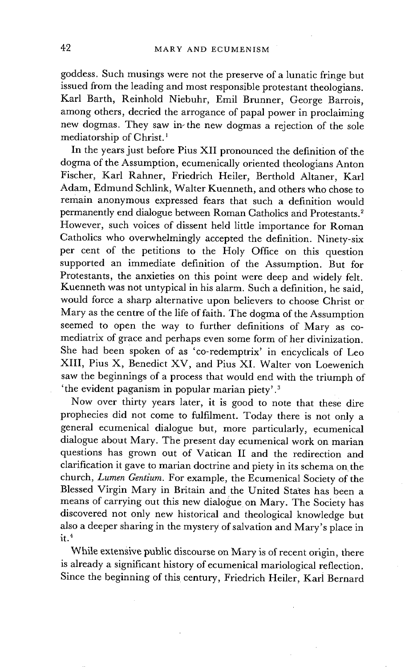goddess. Such musings were not the preserve of a lunatic fringe but issued from the leading and most responsible protestant theologians. Karl Barth, Reinhold Niebuhr, Emil Brunner, George Barrois, among others, decried the arrogance of papal power in proclaiming new dogmas. They saw in the new dogmas a rejection of the sole mediatorship of Christ.<sup>1</sup>

In the years just before Pius XII pronounced the definition of the dogma of the Assumption, ecumenically oriented theologians Anton Fischer, Karl Rahner, Friedrich Heiler, Berthold Altaner, Karl Adam, Edmund Schlink, Walter Kuenneth, and others who chose to remain anonymous expressed fears that such a definition would permanently end dialogue between Roman Catholics and Protestants.<sup>2</sup> However, such voices of dissent held little importance for Roman Catholics who overwhelmingly accepted the definition. Ninety-six per cent of the petitions to the Holy Office on this question supported an immediate definition of the Assumption. But for Protestants, the anxieties on this point were deep and widely felt. Kuenneth was not untypical in his alarm. Such a definition, he said, would force a sharp alternative upon believers to choose Christ or Mary as the centre of the life of faith. The dogma of the Assumption seemed to open the way to further definitions of Mary as comediatrix of grace and perhaps even some form of her divinization. She had been spoken of as 'co-redemptrix' in encyclicals of Leo XIII, Pius X, Benedict XV, and Pius XI. Walter yon Loewenich saw the beginnings of a process that would end with the triumph of 'the evident paganism in popular marian piety'.<sup>3</sup>

Now over thirty years later, it is good to note that these dire prophecies did not come to fulfilment. Today there is not only a general ecumenical dialogue but, more particularly, ecumenical dialogue about Mary. The present day ecumenical work on marian questions has grown out of Vatican II and the redirection and clarification it gave to marian doctrine and piety in its schema on the church, *Lumen Gentium.* For example, the Ecumenical Society of the Blessed Virgin Mary in Britain and the United States has been a means of carrying out this new dialogue on Mary. The Society has discovered not only new historical and theological knowledge but also a deeper sharing in the mystery of salvation and Mary's place in  $it.<sup>4</sup>$ 

While extensive public discourse on Mary is of recent origin, there is already a significant history of ecumenical mariological reflection. Since the beginning of this century, Friedrich Heiler, Karl Bernard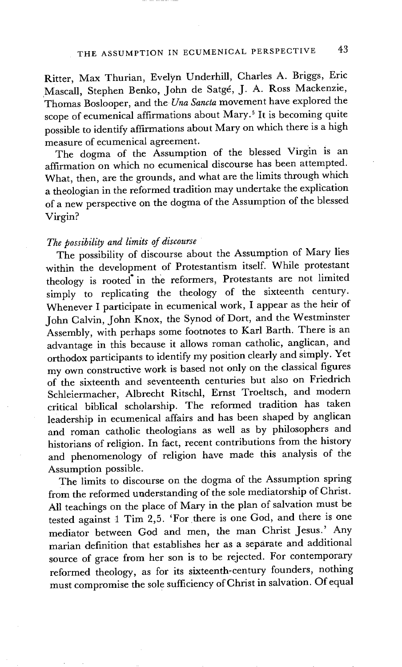Ritter, Max Thurian, Evelyn Underhill, Charles A. Briggs, Eric Mascall, Stephen Benko, John de Satgé, J. A. Ross Mackenzie, Thomas Boslooper, and the *Una Sancta* movement have explored the scope of ecumenical affirmations about Mary.<sup>5</sup> It is becoming quite possible to identify affirmations about Mary on which there is a high measure of ecumenical agreement.

The dogma of the Assumption of the blessed Virgin is an affirmation on which no ecumenical discourse has been attempted. What, then, are the grounds, and what are the limits through which a theologian in the reformed tradition may undertake the explication of a new perspective on the dogma of the Assumption of the blessed Virgin?

## *The possibility and limits of discourse*

The possibility of discourse about the Assumption of Mary lies within the development of Protestantism itself. While protestant theology is rooted" in the reformers, Protestants are not limited simply to replicating the theology of the sixteenth century. Whenever I participate in ecumenical work, I appear as the heir of John Calvin, John Knox, the Synod Of Dort, and the Westminster Assembly, with perhaps some footnotes to Karl Barth. There is an advantage in this because it allows roman catholic, anglican, and orthodox participants to identify my position clearly and simply. Yet my own constructive work is based not only on the classical figures of the sixteenth and seventeenth centuries but also on Friedrich Schleiermacher, Albrecht Ritschl, Ernst Troeltsch, and modern critical biblical scholarship. The reformed tradition has taken leadership in ecumenical affairs and has been shaped by anglican and roman catholic theologians as well as by philosophers and historians of religion. In fact, recent contributions from the history and phenomenology of religion have made this analysis of the Assumption possible.

The limits to discourse on the dogma of the Assumption spring from the reformed understanding of the sole mediatorship of Christ. All teachings on the place of Mary in the plan of salvation must be tested against 1 Tim 2,5. 'For there is one God, and there is one mediator between God and men, the man Christ Jesus.' Any marian definition that establishes her as a separate and additional source of grace from her son is to be rejected. For contemporary reformed theology, as for its sixteenth-century founders, nothing must compromise the sole sufficiency of Christ in salvation. Of equal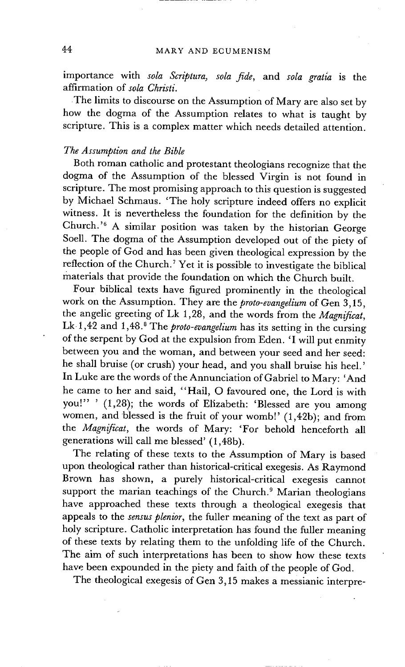importance with *sola Scriptura, sola fide,* and *sola gratia* is the affirmation of *sola Christi.* 

The limits to discourse on the Assumption of Mary are also set by how the dogma of the Assumption relates to what is taught by scripture. This is a complex matter which needs detailed attention.

## *The Assumption and the Bible*

Both roman catholic and protestant theologians recognize that the dogma of the Assumption of the blessed Virgin is not found in scripture. The most promising approach to this question is suggested by Michael Schmaus. 'The holy scripture indeed offers no explicit witness. It is nevertheless the foundation for the definition by the Church. '6 A similar position was taken by the historian George Soell. The dogma of the Assumption developed out of the piety of the people of God and has been given theological expression by the reflection of the Church.<sup>7</sup> Yet it is possible to investigate the biblical materials that provide the foundation on which the Church built.

Four biblical texts have figured prominently in the theological work on the Assumption. They are the *proto-evangelium* of Gen 3,15, the angelic greeting of Lk 1,28, and the words from the *Magnificat,*  Lk 1,42 and 1,48.<sup>8</sup> The *proto-evangelium* has its setting in the cursing of the serpent by God at the expulsion from Eden. 'I will put enmity between you and the woman, and between your seed and her seed: he shall bruise (or crush) your head, and you shall bruise his heel.' In Luke are the words of the Annunciation of Gabriel to Mary: 'And he came to her and said, "Hail, O favoured one, the Lord is with you!" ' (1,28); the words of Elizabeth: 'Blessed are you among women, and blessed is the fruit of your womb!' (1,42b); and from the *Magnificat,* the words of Mary: 'For behold henceforth all generations will call me blessed' (1,48b).

The relating of these texts to the Assumption of Mary is based upon theological rather than historical-critical exegesis. As Raymond Brown has shown, a purely historical-critical exegesis cannot support the marian teachings of the Church.<sup>9</sup> Marian theologians have approached these texts through a theological exegesis that appeals to the *sensus plenior,* the fuller meaning of the text as part of holy scripture. Catholic interpretation has found the fuller meaning of these texts by relating them to the unfolding life of the Church. The aim of such interpretations has been to show how these texts have been expounded in the piety and faith of the people of God.

The theological exegesis of Gen 3,15 makes a messianic interpre-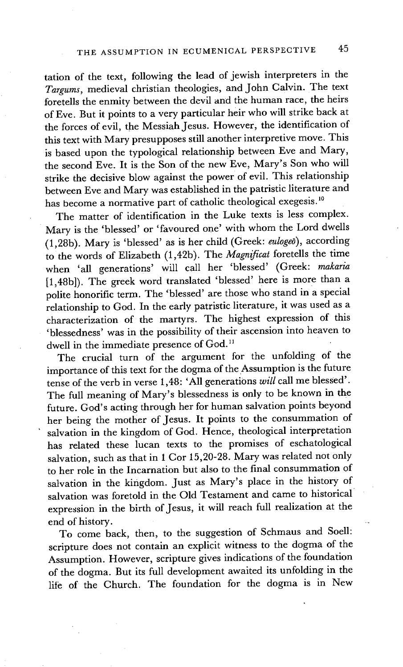tation of the text, following the lead of jewish interpreters in the *Targums,* medieval christian theologies, and John Calvin. The text foretells the enmity between the devil and the human race, the heirs of Eve. But it points to a very particular heir who will strike back at the forces of evil, the Messiah Jesus. However, the identification of this text with Mary presupposes still another interpretive move. This is based upon the typological relationship between Eve and Mary, the second Eve. It is the Son of the new Eve, Mary's Son who will strike the decisive blow against the power of evil. This relationship between Eve and Mary was established in the patristic literature and has become a normative part of catholic theological exegesis.<sup>10</sup>

The matter of identification in the Luke texts is less complex. Mary is the 'blessed' or 'favoured one' with whom the Lord dwells (1,28b). Mary is 'blessed' as is her child (Greek: *eulogeo),* according to the words of Elizabeth (1,42b). The *Magnificat* foretells the time when 'all generations' will call her 'blessed' (Greek: *makaria*  [1,48b]). The greek word translated 'blessed' here is more than a polite honorific term. The 'blessed' are those who stand in a special relationship to God. In the early patristic literature, it was used as a characterization of the martyrs. The highest expression of this 'blessedness' was in the possibility of their ascension into heaven to dwell in the immediate presence of God.<sup>11</sup>

The crucial turn of the argument for the unfolding of the importance of this text for the dogma of the Assumption is the future tense of the verb in verse 1,48: 'All generations *will* call me blessed'. The full meaning of Mary's blessedness is only to be known in the future. God's acting through her for human salvation points beyond her being the mother of Jesus. It points to the consummation of salvation in the kingdom of God. Hence, theological interpretation has related these lucan texts to the promises of eschatological salvation, such as that in 1 Cor 15,20-28. Mary was related not only to her role in the Incarnation but also to the final consummation of salvation in the kingdom. Just as Mary's place in the history of salvation was foretold in the Old Testament and came to historical expression in the birth of Jesus, it will reach full realization at the end of history.

To come back, then, to the suggestion of Schmaus and Soell: scripture does not contain an explicit witness to the dogma of the Assumption. However, scripture gives indications of the foundation of the dogma. But its full development awaited its unfolding in the life of the Church. The foundation for the dogma is in New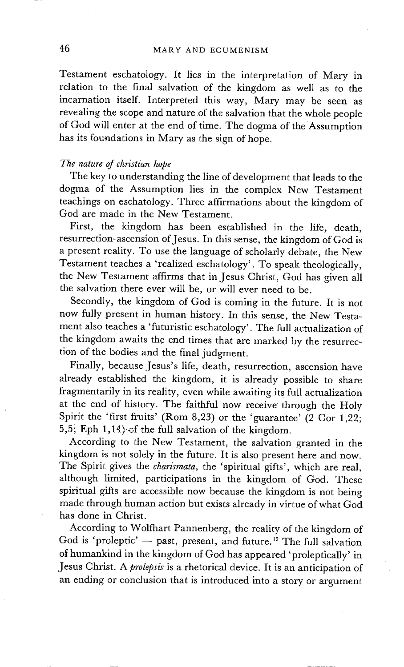Testament eschatology. It lies in the interpretation of Mary in relation to the final salvation of the kingdom as well as to the incarnation itself. Interpreted this way, Mary may be seen as revealing the scope and nature of the salvation that the whole people of God will enter at the end of time. The dogma of the Assumption has its foundations in Mary as the sign of hope.

## *The nature of christian hope*

The key to understanding the line of development that leads to the dogma of the Assumption lies in the complex New Testament teachings on eschatology. Three affirmations about the kingdom of God are made in the New Testament.

First, the kingdom has been established in the life, death, resurrection-ascension of Jesus. In this sense, the kingdom of God is a present reality. To use the language of scholarly debate, the New Testament teaches a 'realized eschatology'. To speak theologically, the New Testament affirms that in Jesus Christ, God has given all the salvation there ever will be, or will ever need to be.

Secondly, the kingdom of God is coming in the future. It is not now fully present in human history. In this sense, the New Testament also teaches a 'futuristic eschatology'. The full actualization of the kingdom awaits the end times that are marked by the resurrection of the bodies and the final judgment.

Finally, because Jesus's life, death, resurrection, ascension have already established the kingdom, it is already possible to share fragmentarily in its reality, even while awaiting its full actualization at the end of history. The faithful now receive through the Holy Spirit the 'first fruits' (Rom 8,23) or the 'guarantee' (2 Cor 1,22; 5,5; Eph 1,14) of the full salvation of the kingdom.

According to the New Testament, the salvation granted in the kingdom is not solely in the future. It is also present here and now. The Spirit gives the *charismata,* the 'spiritual gifts', which are real, although limited, participations in the kingdom of God. These spiritual gifts are accessible now because the kingdom is not being made through human action but exists already in virtue of what God has done in Christ.

According to Wolfhart Pannenberg, the reality of the kingdom of God is 'proleptic'  $-$  past, present, and future.<sup>12</sup> The full salvation of humankind in the kingdom of God has appeared 'proleptically' in Jesus Christ. A *prolepsis* is a rhetorical device. It is an anticipation of an ending or conclusion that is introduced into a story or argument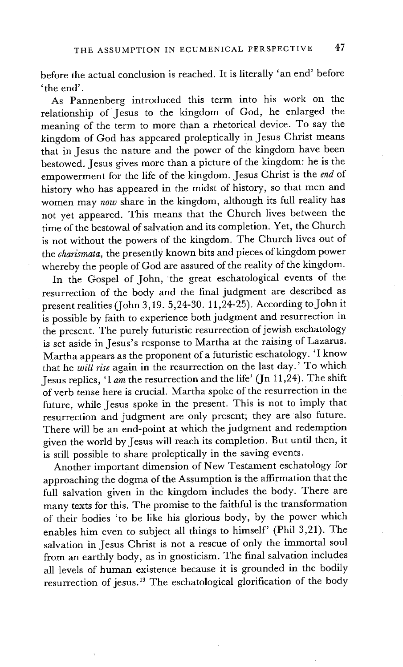before the actual conclusion is reached. It is literally 'an end' before ' the end'.

As Pannenberg introduced this term into his work on the relationship of Jesus to the kingdom of God, he enlarged the meaning of the term to more than a rhetorical device. To say the kingdom of God has appeared proleptically !n Jesus Christ means that in Jesus the nature and the power of the kingdom have been bestowed. Jesus gives more than a picture of the kingdom: he is the empowerment for the life of the kingdom. Jesus Christ is the *end* of history who has appeared in the midst of history, so that men and women may *now* share in the kingdom, although its full reality has not yet appeared. This means that the Church lives between the time of the bestowal of salvation and its completion. Yet, the Church is not without the powers of the kingdom. The Church lives out of the *charismata,* the presently known bits and pieces of kingdom power whereby the people of God are assured of the reality of the kingdom.

In the Gospel of John, the great eschatological events of the resurrection of the body and the final judgment are described as present realities (John 3,19.5,24-30.11,24-25). According to John it is possible by faith to experience both judgment and resurrection in the present. The purely futuristic resurrection of jewish eschatology is set aside in Jesus's response to Martha at the raising of Lazarus. Martha appears as the proponent of a futuristic eschatology. 'I know that he *will rise* again in the resurrection on the last day.' To which Jesus replies, 'I *am* the resurrection and the life' (Jn 11,24). The shift of verb tense here is crucial. Martha spoke of the resurrection in the future, while Jesus spoke in the present. This is not to imply that resurrection and judgment are only present; they are also future. There will be an end-point at which the judgment and redemption given the world by Jesus will reach its completion. But until then, it is still possible to share proleptically in the saving events.

Another important dimension of New Testament eschatology for approaching the dogma of the Assumption is the affirmation that the full salvation given in the kingdom lncludes the body. There are many texts for this. The promise to the faithful is the transformation of their bodies 'to be like his glorious body, by the power which enables him even to subject all things to himself' (Phil 3,21). The salvation in Jesus Christ is not a rescue of only the immortal soul from an earthly body, as in gnosticism. The final salvation includes all levels of human existence because it is grounded in the bodily resurrection of jesus. 13 The eschatological glorification of the body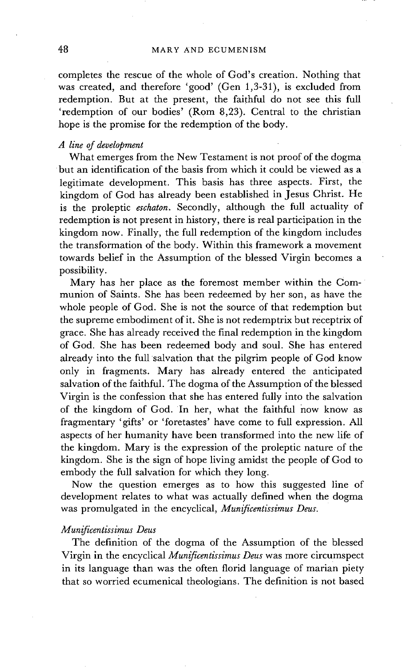completes the rescue of the whole of God's creation. Nothing that was created, and therefore 'good' (Gen 1,3-31), is excluded from redemption. But at the present, the faithful do not see this full 'redemption of our bodies' (Rom 8,23). Central to the christian hope is the promise for the redemption of the body.

### *A line of development*

What emerges from the New Testament is not proof of the dogma but an identification of the basis from which it could be viewed as a legitimate development. This basis has three aspects. First, the kingdom of God has already been established in Jesus Christ. He is the proleptic *eschaton*. Secondly, although the full actuality of redemption is not present in history, there is real participation in the kingdom now. Finally, the full redemption of the kingdom includes the transformation of the body. Within this framework a movement towards belief in the Assumption of the blessed Virgin becomes a possibility.

Mary has her place as the foremost member within the Communion of Saints. She has been redeemed by her son, as have the whole people of God. She is not the source of that redemption but the supreme embodiment of it. She is not redemptrix but receptrix of grace. She has already received the final redemption in the kingdom of God. She has been redeemed body and soul. She has entered already into the full salvation that the pilgrim people of God know only in fragments. Mary has already entered the anticipated salvation of the faithful. The dogma of the Assumption of the blessed Virgin is the confession that she has entered fully into the salvation of the kingdom of God. In her, what the faithful now know as fragmentary 'gifts' or 'foretastes' have come to full expression. All aspects of her humanity have been transformed into the new life of the kingdom. Mary is the expression of the proleptic nature of the kingdom. She is the sign of hope living amidst the people of God to embody the full salvation for which they long.

Now the question emerges as to how this suggested line of development relates to what was actually defined when the dogma was promulgated in the encyclical, *Munificentissimus Deus.* 

#### *Munificentissimus Deus*

The definition of the dogma of the Assumption of the blessed Virgin in the encyclical *Munificentissimus Deus* was more circumspect in its language than was the often florid language of marian piety that so worried ecumenical theologians. The definition is not based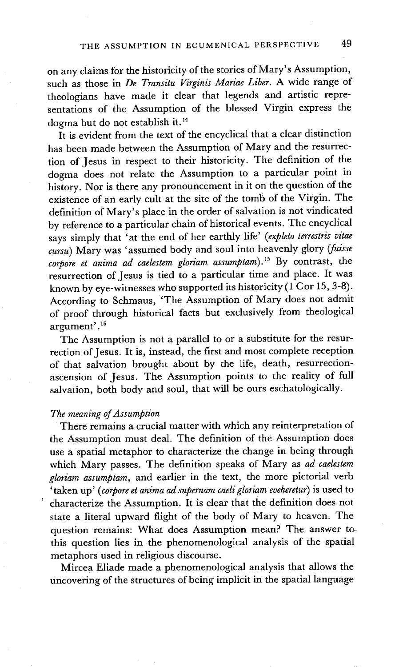on any claims for the historicity of the stories of Mary's Assumption, such as those in *De Transitu Virginis Mariae Liber.* A wide range of theologians have made it clear that legends and artistic representations of the Assumption of the blessed Virgin express the dogma but do not establish it. 14

It is evident from the text of the encyclical that a clear distinction has been made between the Assumption of Mary and the resurrection of Jesus in respect to their historicity. The definition of the dogma does not relate the Assumption to a particular point in history. Nor is there any pronouncement in it on the question of the existence of an early cult at the site of the tomb of the Virgin. The definition of Mary's place in the order of salvation is not vindicated by reference to a particular chain of historical events. The encyclical says simply that 'at the end of her earthly life' *(expleto terrestris vitae cursu)* Mary was 'assumed body and soul into heavenly glory *(fuisse*  corpore et anima ad caelestem gloriam assumptam).<sup>15</sup> By contrast, the resurrection of Jesus is tied to a particular time and place. It was known by eye-witnesses who supported its historicity (1 Cor 15, 3-8). According to Schmaus, 'The Assumption of Mary does not admit of proof through historical facts but exclusively from theological argument'. 16

The Assumption is not a parallel to or a substitute for the resurrection of Jesus. It is, instead, the first and most complete reception of that salvation brought about by the life, death, resurrectionascension of Jesus. The Assumption points to the reality of full salvation, both body and soul, that will be ours eschatologically.

## *The meaning of Assumption*

There remains a crucial matter with which any reinterpretation of the Assumption must deal. The definition of the Assumption does use a spatial metaphor to characterize the change in being through which Mary passes. The definition speaks of Mary as *ad caelestem gloriam assumptam,* and earlier in the text, the more pictorial verb 'taken up' *( corpore et anima ad supernam caeli gloriam eveheretur)* is used to characterize the Assumption. It is clear that the definition does not state a literal upward flight of the body of Mary to heaven. The question remains: What does Assumption mean? The answer tothis question lies in the phenomenological analysis of the spatial metaphors used in religious discourse.

Mircea Eliade made a phenomenological analysis that allows the uncovering of the structures of being implicit in the spatial language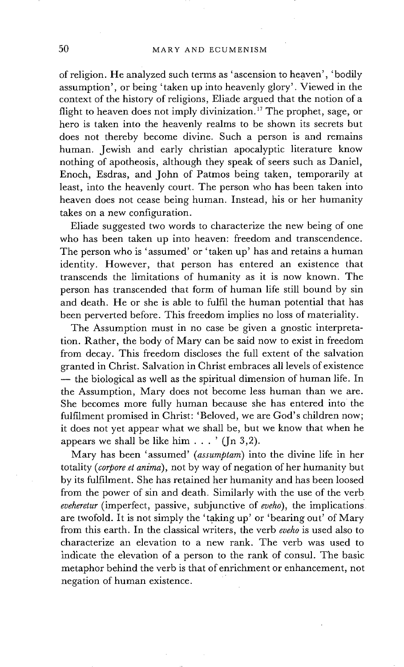of religion. He analyzed such terms as ' ascension to heaven', 'bodily assumption', or being 'taken up into heavenly glory'. Viewed in the context of the history of religions, Eliade argued that the notion of a flight to heaven does not imply divinization. 17 The prophet, sage, or hero is taken into the heavenly realms to be shown its secrets but does not thereby become divine. Such a person is and remains human. Jewish and early christian apocalyptic literature know nothing of apotheosis, although they speak of seers such as Daniel, Enoch, Esdras, and John of Patmos being taken, temporarily at least, into the heavenly court. The person who has been taken into heaven does not cease being human. Instead, his or her humanity takes on a new configuration.

Eliade suggested two words to characterize the new being of one who has been taken up into heaven: freedom and transcendence. The person who is 'assumed' or 'taken up' has and retains a human identity. However, that person has entered an existence that transcends the limitations of humanity as it is now known. The person has transcended that form of human life still bound by sin and death. He or she is able to fulfil the human potential that has been perverted before. This freedom implies no loss of materiality.

The Assumption must in no case be given a gnostic interpretation. Rather, the body of Mary can be said now to exist in freedom from decay. This freedom discloses the full extent of the salvation granted in Christ. Salvation in Christ embraces all levels of existence **--** the biological as well as the spiritual dimension of human life. In the Assumption. Mary does not become less human than we are. She becomes more fully human because she has entered into the fulfilment promised in Christ: 'Beloved, we are God's children now; it does not yet appear what we shall be, but we know that when he appears we shall be like him  $\ldots$  ' (In 3,2).

Mary has been 'assumed' *(assumptam)* into the divine life in her totality *(corpore et anima)*, not by way of negation of her humanity but by its fulfilment. She has retained her humanity and has been loosed from the power of sin and death. Similarly with the use of the verb *eveheretur* (imperfect, passive, subjunctive of *eveho),* the implications ~ are twofold. It is not simply the 'taking up' or 'bearing out' of Mary from this earth. In the classical writers, the verb *eveho* is used also to characterize an elevation to a new rank. The verb was used to indicate the elevation of a person to the rank of consul. The basic metaphor behind the verb is that of enrichment or enhancement, not negation of human existence.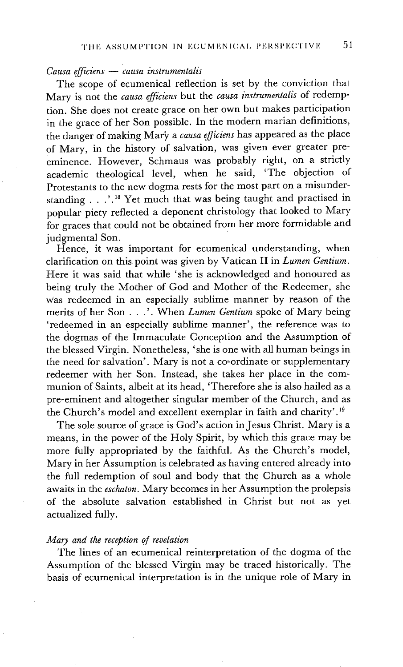## *Causa efficiens -- causa instrumentalis*

The scope of ecumenical reflection is set by the conviction that Mary is not the *causa efficiens* but the *causa instrumentalis* of redemption. She does not create grace on her own but makes participation in the grace of her Son possible. In the modern marian definitions, the danger of making Mary a *causa efficiens* has appeared as the place of Mary, in the history of salvation, was given ever greater preeminence. However, Schmaus was probably right, on a strictly academic theological level, when he said, 'The objection of Protestants to the new dogma rests for the most part on a misunderstanding . . .'.<sup>18</sup> Yet much that was being taught and practised in popular piety reflected a deponent christology that looked to Mary for graces that could not be obtained from her more formidable and judgmental Son.

Hence, it was important for ecumenical understanding, when clarification on this point was given by Vatican II in *Lumen Gentium.*  Here it was said that while 'she is acknowledged and honoured as being truly the Mother of God and Mother of the Redeemer, she Was redeemed in an especially sublime manner by reason of the merits of her Son . . .'. When *Lumen Gentium* spoke of Mary being 'redeemed in an especially sublime manner', the reference was to the dogmas of the Immaculate Conception and the Assumption of the blessed Virgin. Nonetheless, 'she is one with all human beings in the need for salvation'. Mary is not a co-ordinate or supplementary redeemer with her Son. Instead, she takes her place in the communion of Saints, albeit at its head, 'Therefore she is also hailed as a pre-eminent and altogether singular member of the Church, and as the Church's model and excellent exemplar in faith and charity'.<sup>19</sup>

The sole source of grace is God's action in Jesus Christ. Mary is a means, in the power of the Holy Spirit, by which this grace may be more fully appropriated by the faithful. As the Church's model, Mary in her Assumption is celebrated as having entered already into the full redemption of soul and body that the Church as a whole awaits in the *eschaton.* Mary becomes in her Assumption the prolepsis of the absolute salvation established in Christ but not as yet actualized fully.

#### *Mary and the reception of revelation*

The lines of an ecumenical reinterpretation of the dogma of the Assumption of the blessed Virgin may be traced historically. The basis of ecumenical interpretation is in the unique role of Mary in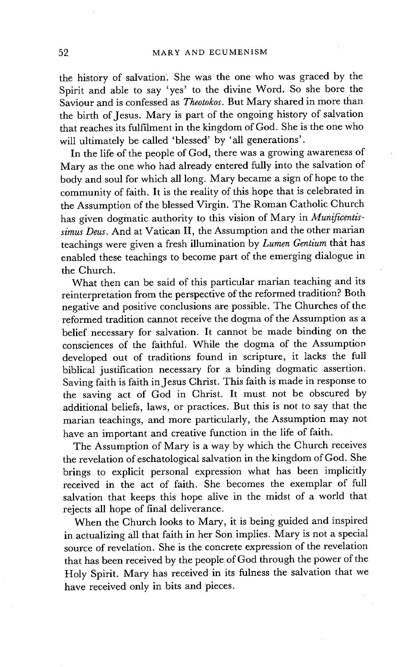the history of salvation. She was the one who was graced by the Spirit and able to say 'yes' to the divine Word. So she bore the Saviour and is confessed as *Theotokos.* But Mary shared in more than the birth of Jesus. Mary is part of the ongoing history of salvation that reaches its fulfilment in the kingdom of God. She is the one who will ultimately be called 'blessed' by 'all generations'.

In the life of the people of God, there was a growing awareness of Mary as the one who had already entered fully into the salvation of body and soul for which all long. Mary became a sign of hope to the community of faith. It is the reality of this hope that is celebrated in the Assumption of the blessed Virgin. The Roman Catholic Church has given dogmatic authority to this vision of Mary in *Munificentissimus Deus.* And at Vatican II, the Assumption and the other marian teachings were given a fresh illumination by *Lumen Gentium* that has enabled these teachings to become part of the emerging dialogue in the Church.

What then can be said of this particular marian teaching and its reinterpretation from the perspective of the reformed tradition? Both negative and positive conclusions are possible. The Churches of the reformed tradition cannot receive the dogma of the Assumption as a belief necessary for salvation. It cannot be made binding on the consciences of the faithful. While the dogma of the Assumption developed out of traditions found in scripture, it lacks the full biblical justification necessary for a binding dogmatic assertion. Saving faith is faith in Jesus Christ. This faith is made in response to the saving act of God in Christ. It must not be obscured by additional beliefs, laws, or practices. But this is not to say that the marian teachings, and more particularly, the Assumption may not have an important and creative function in the life of faith.

The Assumption of Mary is a way by which the Church receives the revelation of eschatological salvation in the kingdom of God. She brings to explicit personal expression what has been implicitly received in the act of faith. She becomes the exemplar of full salvation that keeps this hope alive in the midst of a world that rejects all hope of final deliverance.

When the Church looks to Mary, it is being guided and inspired in actualizing all that faith in her Son implies. Mary is not a special source of revelation. She is the concrete expression of the revelation that has been received by the people of God through the power of the Holy Spirit. Mary has received in its fulness the salvation that we have received only in bits and pieces.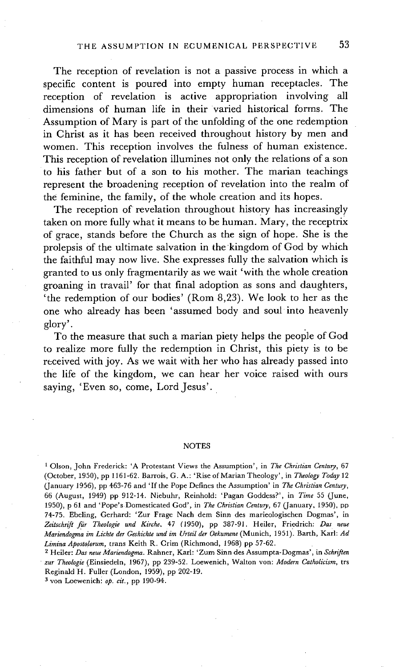The reception of revelation is not a passive process in which a specific content is poured into empty human receptacles. The reception of revelation is active appropriation involving all dimensions of human life in their varied historical forms. The Assumption of Mary is part of the unfolding of the one redemption in Christ as it has been received throughout history by men and women. This reception involves the fulness of human existence. This reception of revelation illumines not only the relations of a son to his father but of a son to his mother. The marian teachings represent the broadening reception of revelation into the realm of the feminine, the family, of the whole creation and its hopes.

The reception of revelation throughout history has increasingly taken on more fully what it means to be human. Mary, the receptrix of grace, stands before the Church as the sign of hope. She is the prolepsis of the ultimate salvation in the kingdom of God by which the faithful may now live. She expresses fully the salvation which is granted to us only fragmentarily as we wait 'with the whole creation groaning in travail' for that final adoption as sons and daughters, 'the redemption of our bodies' (Rom 8,23). We look to her as the one who already has been 'assumed body and soul into heavenly glory'.

To the measure that such a marian piety helps the people of God to realize more fully the redemption in Christ, this piety is to be received with joy. As we wait with her who has already passed into the life of the kingdom, we can hear her voice raised with ours saying, 'Even so, come, Lord Jesus'.

#### NOTES

<sup>1</sup> Olson, John Frederick: 'A Protestant Views the Assumption', in *The Christian Century*, 67 (October, 1950), pp 1161-62. Barrois, G. A.: 'Rise of Marian Theology', in *Theology Today* 12 (.January 1956), pp 463-76 and 'If the Pope Defines the Assumption' in *The Christian Century,*  66 (August, 1949) pp 912-14. Niebuhr, Reinhold: 'Pagan Goddess?', in *Time* 55 (June, 1950), p 61 and 'Pope's Domesticated God', in *The Christian Century,* 67 (January, 1950), pp 74-75. Ebeling, Gerhard: 'Zur Frage Nach dem Sinn des marieologischen Dogmas', in *Zeitschrift fir Theologic und Kirche,* 47 (1950), pp 387-91. Heiler, Friedrich: *Das neue Mariendogma ira Lichte der Geshichte und im Urteil der Oekumene* (Munich, 1951). Barth, Karl: *Ad Limina Aposto/orum,* trans Keith R. Crim (Richmond, 1968) pp 57-62.

2 Heiler: *Das neue Mariendogma.* Rahner, Karl: 'Zum Sinn des Assumpta-Dogmas', in *Schriften zur Theologic* (Einsiedeln, 1967), pp 239-52. Loewenich, Walton yon: *Modern Catholicism,* trs Reginald H. Fuller (London, 1959), pp 202-19.

3 von Loewenichi *op. tit.,* pp 190-94.